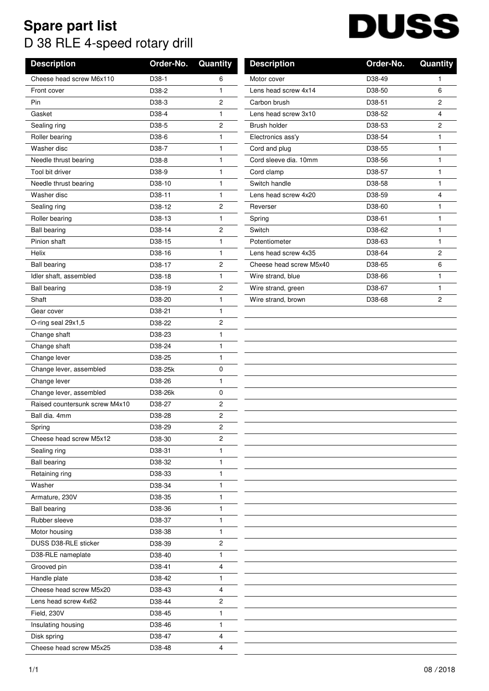## **Spare part list** D 38 RLE 4-speed rotary drill

## **DUSS**

| <b>Description</b>             | Order-No.         | Quantity       | <b>Description</b>      | Order-No. | Quantity |
|--------------------------------|-------------------|----------------|-------------------------|-----------|----------|
| Cheese head screw M6x110       | D38-1             | 6              | Motor cover             | D38-49    | 1        |
| Front cover                    | D38-2             | 1              | Lens head screw 4x14    | D38-50    | 6        |
| Pin                            | D38-3             | 2              | Carbon brush            | D38-51    | 2        |
| Gasket                         | D38-4             | $\mathbf{1}$   | Lens head screw 3x10    | D38-52    | 4        |
| Sealing ring                   | D38-5             | 2              | <b>Brush holder</b>     | D38-53    | 2        |
| Roller bearing                 | D38-6             | 1              | Electronics ass'y       | D38-54    | 1        |
| Washer disc                    | D38-7             | $\mathbf{1}$   | Cord and plug           | D38-55    | 1        |
| Needle thrust bearing          | D38-8             | 1              | Cord sleeve dia. 10mm   | D38-56    | 1        |
| Tool bit driver                | D <sub>38-9</sub> | 1              | Cord clamp              | D38-57    | 1        |
| Needle thrust bearing          | D38-10            | $\mathbf{1}$   | Switch handle           | D38-58    | 1        |
| Washer disc                    | D38-11            | 1              | Lens head screw 4x20    | D38-59    | 4        |
| Sealing ring                   | D38-12            | 2              | Reverser                | D38-60    | 1        |
| Roller bearing                 | D38-13            | 1              | Spring                  | D38-61    | 1        |
| <b>Ball bearing</b>            | D38-14            | 2              | Switch                  | D38-62    | 1        |
| Pinion shaft                   | D38-15            | 1              | Potentiometer           | D38-63    | 1        |
| <b>Helix</b>                   | D38-16            | 1              | Lens head screw 4x35    | D38-64    | 2        |
| <b>Ball bearing</b>            | D38-17            | 2              | Cheese head screw M5x40 | D38-65    | 6        |
| Idler shaft, assembled         | D38-18            | $\mathbf{1}$   | Wire strand, blue       | D38-66    | 1        |
| <b>Ball bearing</b>            | D38-19            | 2              | Wire strand, green      | D38-67    | 1        |
| Shaft                          | D38-20            | 1              | Wire strand, brown      | D38-68    | 2        |
| Gear cover                     | D38-21            | $\mathbf{1}$   |                         |           |          |
| O-ring seal 29x1,5             | D38-22            | 2              |                         |           |          |
| Change shaft                   | D38-23            | 1              |                         |           |          |
| Change shaft                   | D38-24            | $\mathbf{1}$   |                         |           |          |
| Change lever                   | D38-25            | 1              |                         |           |          |
| Change lever, assembled        | D38-25k           | 0              |                         |           |          |
| Change lever                   | D38-26            | 1              |                         |           |          |
| Change lever, assembled        | D38-26k           | 0              |                         |           |          |
| Raised countersunk screw M4x10 | D38-27            | 2              |                         |           |          |
| Ball dia, 4mm                  | D38-28            | $\overline{c}$ |                         |           |          |
| Spring                         | D38-29            | 2              |                         |           |          |
| Cheese head screw M5x12        | D38-30            | 2              |                         |           |          |
| Sealing ring                   | D38-31            | 1              |                         |           |          |
| <b>Ball bearing</b>            | D38-32            | 1              |                         |           |          |
| Retaining ring                 | D38-33            | 1              |                         |           |          |
| Washer                         | D38-34            | 1              |                         |           |          |
| Armature, 230V                 | D38-35            | 1              |                         |           |          |
| <b>Ball bearing</b>            | D38-36            | 1              |                         |           |          |
| Rubber sleeve                  | D38-37            | 1              |                         |           |          |
| Motor housing                  | D38-38            | 1              |                         |           |          |
| DUSS D38-RLE sticker           | D38-39            | 2              |                         |           |          |
| D38-RLE nameplate              | D38-40            | 1              |                         |           |          |
| Grooved pin                    | D38-41            | 4              |                         |           |          |
| Handle plate                   | D38-42            | 1              |                         |           |          |
| Cheese head screw M5x20        | D38-43            | 4              |                         |           |          |
| Lens head screw 4x62           | D38-44            | 2              |                         |           |          |
| Field, 230V                    | D38-45            | 1              |                         |           |          |
| Insulating housing             | D38-46            | 1              |                         |           |          |
| Disk spring                    | D38-47            | 4              |                         |           |          |
| Cheese head screw M5x25        | D38-48            | 4              |                         |           |          |